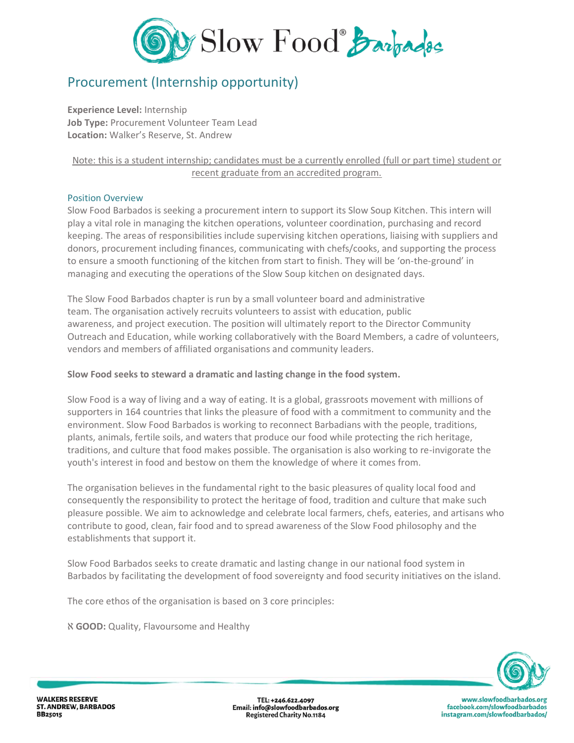

# Procurement (Internship opportunity)

**Experience Level:** Internship **Job Type:** Procurement Volunteer Team Lead **Location:** Walker's Reserve, St. Andrew

# Note: this is a student internship; candidates must be a currently enrolled (full or part time) student or recent graduate from an accredited program.

## Position Overview

Slow Food Barbados is seeking a procurement intern to support its Slow Soup Kitchen. This intern will play a vital role in managing the kitchen operations, volunteer coordination, purchasing and record keeping. The areas of responsibilities include supervising kitchen operations, liaising with suppliers and donors, procurement including finances, communicating with chefs/cooks, and supporting the process to ensure a smooth functioning of the kitchen from start to finish. They will be 'on-the-ground' in managing and executing the operations of the Slow Soup kitchen on designated days.

The Slow Food Barbados chapter is run by a small volunteer board and administrative team. The organisation actively recruits volunteers to assist with education, public awareness, and project execution. The position will ultimately report to the Director Community Outreach and Education, while working collaboratively with the Board Members, a cadre of volunteers, vendors and members of affiliated organisations and community leaders.

## **Slow Food seeks to steward a dramatic and lasting change in the food system.**

Slow Food is a way of living and a way of eating. It is a global, grassroots movement with millions of supporters in 164 countries that links the pleasure of food with a commitment to community and the environment. Slow Food Barbados is working to reconnect Barbadians with the people, traditions, plants, animals, fertile soils, and waters that produce our food while protecting the rich heritage, traditions, and culture that food makes possible. The organisation is also working to re-invigorate the youth's interest in food and bestow on them the knowledge of where it comes from.

The organisation believes in the fundamental right to the basic pleasures of quality local food and consequently the responsibility to protect the heritage of food, tradition and culture that make such pleasure possible. We aim to acknowledge and celebrate local farmers, chefs, eateries, and artisans who contribute to good, clean, fair food and to spread awareness of the Slow Food philosophy and the establishments that support it.

Slow Food Barbados seeks to create dramatic and lasting change in our national food system in Barbados by facilitating the development of food sovereignty and food security initiatives on the island.

The core ethos of the organisation is based on 3 core principles:

ℵ **GOOD:** Quality, Flavoursome and Healthy



**WALKERS RESERVE ST. ANDREW, BARBADOS BB25015** 

TEL: +246.622.4097 Email: info@slowfoodbarbados.org **Registered Charity No.1184** 

www.slowfoodbarbados.org facebook.com/slowfoodbarbados instagram.com/slowfoodbarbados/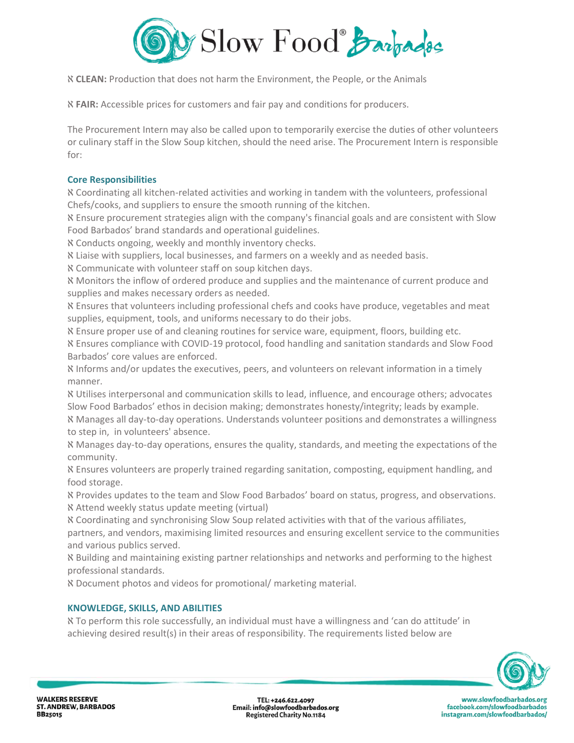

ℵ **CLEAN:** Production that does not harm the Environment, the People, or the Animals

ℵ **FAIR:** Accessible prices for customers and fair pay and conditions for producers.

The Procurement Intern may also be called upon to temporarily exercise the duties of other volunteers or culinary staff in the Slow Soup kitchen, should the need arise. The Procurement Intern is responsible for:

## **Core Responsibilities**

ℵ Coordinating all kitchen-related activities and working in tandem with the volunteers, professional Chefs/cooks, and suppliers to ensure the smooth running of the kitchen.

ℵ Ensure procurement strategies align with the company's financial goals and are consistent with Slow Food Barbados' brand standards and operational guidelines.

ℵ Conducts ongoing, weekly and monthly inventory checks.

ℵ Liaise with suppliers, local businesses, and farmers on a weekly and as needed basis.

ℵ Communicate with volunteer staff on soup kitchen days.

ℵ Monitors the inflow of ordered produce and supplies and the maintenance of current produce and supplies and makes necessary orders as needed.

ℵ Ensures that volunteers including professional chefs and cooks have produce, vegetables and meat supplies, equipment, tools, and uniforms necessary to do their jobs.

ℵ Ensure proper use of and cleaning routines for service ware, equipment, floors, building etc.

ℵ Ensures compliance with COVID-19 protocol, food handling and sanitation standards and Slow Food Barbados' core values are enforced.

ℵ Informs and/or updates the executives, peers, and volunteers on relevant information in a timely manner.

ℵ Utilises interpersonal and communication skills to lead, influence, and encourage others; advocates Slow Food Barbados' ethos in decision making; demonstrates honesty/integrity; leads by example.

ℵ Manages all day-to-day operations. Understands volunteer positions and demonstrates a willingness to step in, in volunteers' absence.

ℵ Manages day-to-day operations, ensures the quality, standards, and meeting the expectations of the community.

ℵ Ensures volunteers are properly trained regarding sanitation, composting, equipment handling, and food storage.

ℵ Provides updates to the team and Slow Food Barbados' board on status, progress, and observations. ℵ Attend weekly status update meeting (virtual)

ℵ Coordinating and synchronising Slow Soup related activities with that of the various affiliates,

partners, and vendors, maximising limited resources and ensuring excellent service to the communities and various publics served.

ℵ Building and maintaining existing partner relationships and networks and performing to the highest professional standards.

ℵ Document photos and videos for promotional/ marketing material.

# **KNOWLEDGE, SKILLS, AND ABILITIES**

ℵ To perform this role successfully, an individual must have a willingness and 'can do attitude' in achieving desired result(s) in their areas of responsibility. The requirements listed below are